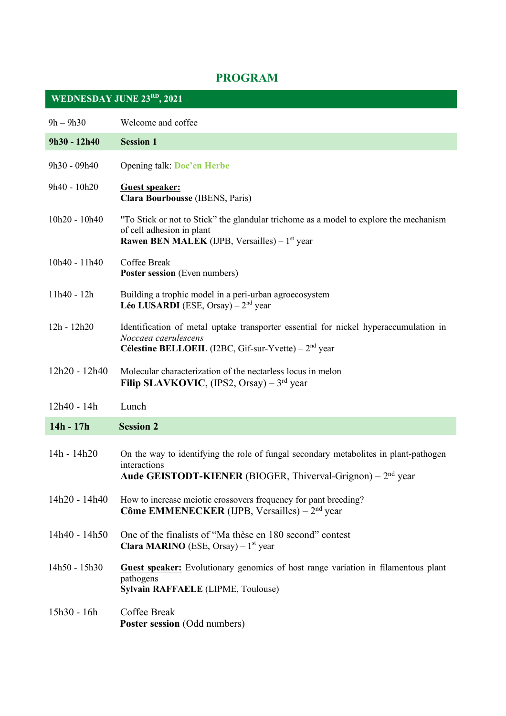## **PROGRAM**

| <b>WEDNESDAY JUNE 23RD, 2021</b> |                                                                                                                                                                               |
|----------------------------------|-------------------------------------------------------------------------------------------------------------------------------------------------------------------------------|
| $9h - 9h30$                      | Welcome and coffee                                                                                                                                                            |
| 9h30 - 12h40                     | <b>Session 1</b>                                                                                                                                                              |
| 9h30 - 09h40                     | <b>Opening talk: Doc'en Herbe</b>                                                                                                                                             |
| 9h40 - 10h20                     | <b>Guest speaker:</b><br><b>Clara Bourbousse</b> (IBENS, Paris)                                                                                                               |
| 10h20 - 10h40                    | "To Stick or not to Stick" the glandular trichome as a model to explore the mechanism<br>of cell adhesion in plant<br><b>Rawen BEN MALEK</b> (IJPB, Versailles) – $1st$ year  |
| 10h40 - 11h40                    | Coffee Break<br><b>Poster session</b> (Even numbers)                                                                                                                          |
| 11h40 - 12h                      | Building a trophic model in a peri-urban agroecosystem<br><b>Léo LUSARDI</b> (ESE, Orsay) – $2nd$ year                                                                        |
| $12h - 12h20$                    | Identification of metal uptake transporter essential for nickel hyperaccumulation in<br>Noccaea caerulescens<br><b>Célestine BELLOEIL</b> (I2BC, Gif-sur-Yvette) – $2nd$ year |
| 12h20 - 12h40                    | Molecular characterization of the nectarless locus in melon<br>Filip SLAVKOVIC, (IPS2, Orsay) – $3rd$ year                                                                    |
| 12h40 - 14h                      | Lunch                                                                                                                                                                         |
| 14h - 17h                        | <b>Session 2</b>                                                                                                                                                              |
| 14h - 14h20                      | On the way to identifying the role of fungal secondary metabolites in plant-pathogen<br>interactions<br>Aude GEISTODT-KIENER (BIOGER, Thiverval-Grignon) – $2nd$ year         |
| 14h20 - 14h40                    | How to increase meiotic crossovers frequency for pant breeding?<br>Côme EMMENECKER (IJPB, Versailles) – $2nd$ year                                                            |
| 14h40 - 14h50                    | One of the finalists of "Ma thèse en 180 second" contest<br><b>Clara MARINO</b> (ESE, Orsay) – $1st$ year                                                                     |
| 14h50 - 15h30                    | <b>Guest speaker:</b> Evolutionary genomics of host range variation in filamentous plant<br>pathogens<br>Sylvain RAFFAELE (LIPME, Toulouse)                                   |
| 15h30 - 16h                      | Coffee Break<br><b>Poster session (Odd numbers)</b>                                                                                                                           |